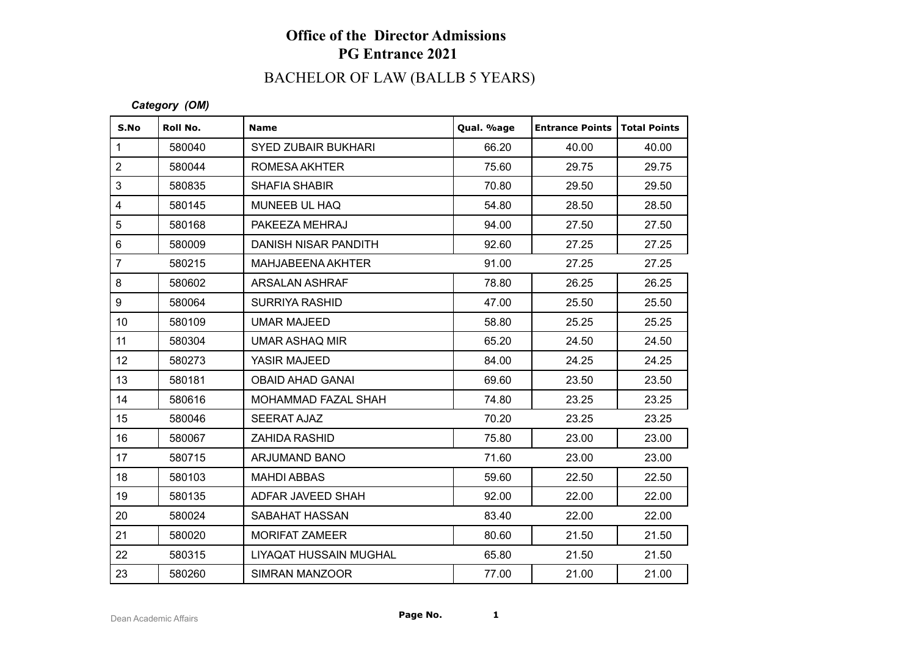## **Office of the Director Admissions PG Entrance 2021**

# BACHELOR OF LAW (BALLB 5 YEARS)

### *Category (OM)*

| S.No            | Roll No. | <b>Name</b>                | Qual. %age | <b>Entrance Points</b> | Total Points |
|-----------------|----------|----------------------------|------------|------------------------|--------------|
| $\mathbf{1}$    | 580040   | <b>SYED ZUBAIR BUKHARI</b> | 66.20      | 40.00                  | 40.00        |
| $\overline{2}$  | 580044   | ROMESA AKHTER              | 75.60      | 29.75                  | 29.75        |
| 3               | 580835   | <b>SHAFIA SHABIR</b>       | 70.80      | 29.50                  | 29.50        |
| $\overline{4}$  | 580145   | MUNEEB UL HAQ              | 54.80      | 28.50                  | 28.50        |
| 5               | 580168   | PAKEEZA MEHRAJ             | 94.00      | 27.50                  | 27.50        |
| $6\phantom{a}$  | 580009   | DANISH NISAR PANDITH       | 92.60      | 27.25                  | 27.25        |
| $\overline{7}$  | 580215   | MAHJABEENA AKHTER          | 91.00      | 27.25                  | 27.25        |
| 8               | 580602   | <b>ARSALAN ASHRAF</b>      | 78.80      | 26.25                  | 26.25        |
| 9               | 580064   | <b>SURRIYA RASHID</b>      | 47.00      | 25.50                  | 25.50        |
| 10 <sup>1</sup> | 580109   | <b>UMAR MAJEED</b>         | 58.80      | 25.25                  | 25.25        |
| 11              | 580304   | UMAR ASHAQ MIR             | 65.20      | 24.50                  | 24.50        |
| 12              | 580273   | YASIR MAJEED               | 84.00      | 24.25                  | 24.25        |
| 13              | 580181   | <b>OBAID AHAD GANAI</b>    | 69.60      | 23.50                  | 23.50        |
| 14              | 580616   | MOHAMMAD FAZAL SHAH        | 74.80      | 23.25                  | 23.25        |
| 15              | 580046   | <b>SEERAT AJAZ</b>         | 70.20      | 23.25                  | 23.25        |
| 16              | 580067   | <b>ZAHIDA RASHID</b>       | 75.80      | 23.00                  | 23.00        |
| 17              | 580715   | ARJUMAND BANO              | 71.60      | 23.00                  | 23.00        |
| 18              | 580103   | <b>MAHDI ABBAS</b>         | 59.60      | 22.50                  | 22.50        |
| 19              | 580135   | ADFAR JAVEED SHAH          | 92.00      | 22.00                  | 22.00        |
| 20              | 580024   | SABAHAT HASSAN             | 83.40      | 22.00                  | 22.00        |
| 21              | 580020   | <b>MORIFAT ZAMEER</b>      | 80.60      | 21.50                  | 21.50        |
| 22              | 580315   | LIYAQAT HUSSAIN MUGHAL     | 65.80      | 21.50                  | 21.50        |
| 23              | 580260   | <b>SIMRAN MANZOOR</b>      | 77.00      | 21.00                  | 21.00        |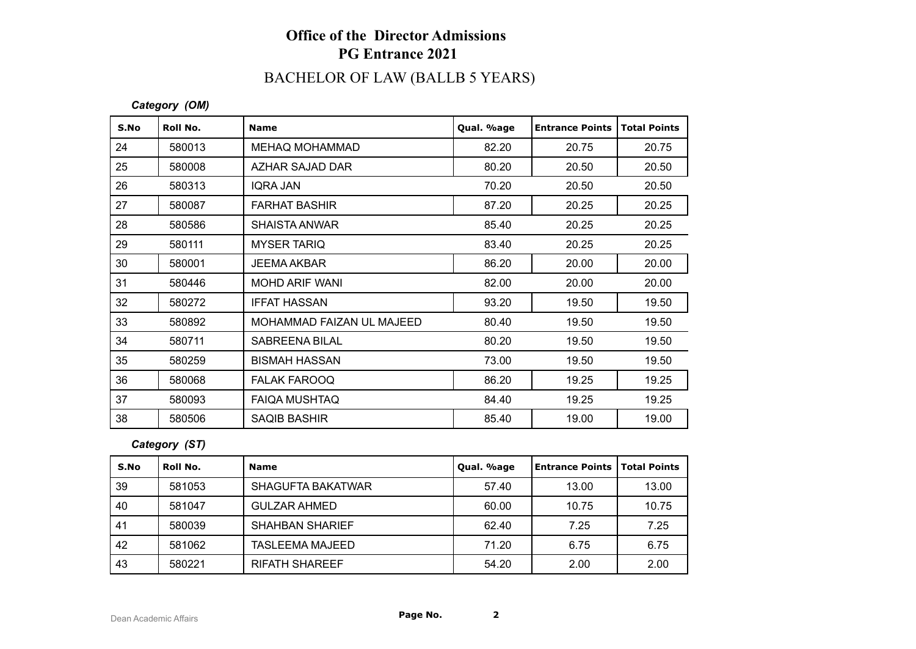## **Office of the Director Admissions PG Entrance 2021**

# BACHELOR OF LAW (BALLB 5 YEARS)

*Category (OM)*

| S.No | Roll No. | <b>Name</b>               | Qual. %age | <b>Entrance Points</b> | <b>Total Points</b> |
|------|----------|---------------------------|------------|------------------------|---------------------|
| 24   | 580013   | <b>MEHAQ MOHAMMAD</b>     | 82.20      | 20.75                  | 20.75               |
| 25   | 580008   | AZHAR SAJAD DAR           | 80.20      | 20.50                  | 20.50               |
| 26   | 580313   | IQRA JAN                  | 70.20      | 20.50                  | 20.50               |
| 27   | 580087   | <b>FARHAT BASHIR</b>      | 87.20      | 20.25                  | 20.25               |
| 28   | 580586   | <b>SHAISTA ANWAR</b>      | 85.40      | 20.25                  | 20.25               |
| 29   | 580111   | <b>MYSER TARIQ</b>        | 83.40      | 20.25                  | 20.25               |
| 30   | 580001   | <b>JEEMA AKBAR</b>        | 86.20      | 20.00                  | 20.00               |
| 31   | 580446   | <b>MOHD ARIF WANI</b>     | 82.00      | 20.00                  | 20.00               |
| 32   | 580272   | <b>IFFAT HASSAN</b>       | 93.20      | 19.50                  | 19.50               |
| 33   | 580892   | MOHAMMAD FAIZAN UL MAJEED | 80.40      | 19.50                  | 19.50               |
| 34   | 580711   | SABREENA BILAL            | 80.20      | 19.50                  | 19.50               |
| 35   | 580259   | <b>BISMAH HASSAN</b>      | 73.00      | 19.50                  | 19.50               |
| 36   | 580068   | <b>FALAK FAROOQ</b>       | 86.20      | 19.25                  | 19.25               |
| 37   | 580093   | <b>FAIQA MUSHTAQ</b>      | 84.40      | 19.25                  | 19.25               |
| 38   | 580506   | <b>SAQIB BASHIR</b>       | 85.40      | 19.00                  | 19.00               |

### *Category (ST)*

| S.No | Roll No. | <b>Name</b>              | Qual. %age | Entrance Points   Total Points |       |
|------|----------|--------------------------|------------|--------------------------------|-------|
| 39   | 581053   | <b>SHAGUFTA BAKATWAR</b> | 57.40      | 13.00                          | 13.00 |
| 40   | 581047   | <b>GULZAR AHMED</b>      | 60.00      | 10.75                          | 10.75 |
| -41  | 580039   | <b>SHAHBAN SHARIEF</b>   | 62.40      | 7.25                           | 7.25  |
| 42   | 581062   | <b>TASLEEMA MAJEED</b>   | 71.20      | 6.75                           | 6.75  |
| 43   | 580221   | <b>RIFATH SHAREEF</b>    | 54.20      | 2.00                           | 2.00  |